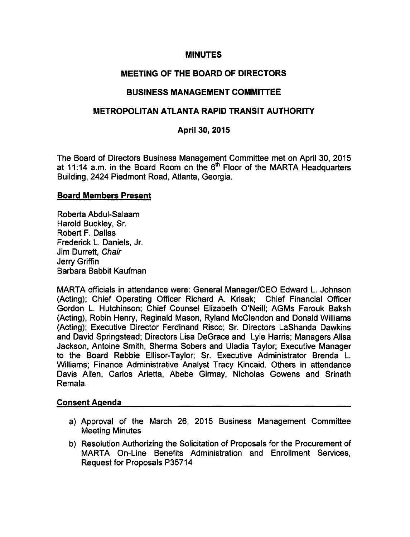### **MINUTES**

## MEETING OF THE BOARD OF DIRECTORS

## BUSINESS MANAGEMENT COMMITTEE

## METROPOLITAN ATLANTA RAPID TRANSIT AUTHORITY

### April 30, 2015

The Board of Directors Business Management Committee met on April 30, 2015 at 11:14 a.m. in the Board Room on the  $6<sup>th</sup>$  Floor of the MARTA Headquarters Building, 2424 Piedmont Road, Atlanta, Georgia.

#### Board Members Present

Roberta Abdul-Salaam Harold Buckley, Sr. Robert F. Dallas Frederick L. Daniels, Jr. Jim Durrett, Chair Jerry Griffin Barbara Babbit Kaufman

MARTA officials in attendance were: General Manager/CEO Edward L. Johnson (Acting); Chief Operating Officer Richard A. Krisak; Chief Financial Officer Gordon L. Hutchinson; Chief Counsel Elizabeth O'Neill; AGMs Farouk Baksh (Acting), Robin Henry, Reginald Mason, Ryland McClendon and Donald Williams (Acting); Executive Director Ferdinand Risco; Sr. Directors LaShanda Dawkins and David Springstead; Directors Lisa DeGrace and Lyle Harris; Managers Alisa Jackson, Antoine Smith, Sherma Sobers and Uladia Taylor; Executive Manager to the Board Rebbie Ellisor-Taylor; Sr. Executive Administrator Brenda L. Williams; Finance Administrative Analyst Tracy Kincaid. Others in attendance Davis Allen, Carlos Arietta, Abebe Girmay, Nicholas Gowens and Srinath Remala.

#### Consent Agenda

- a) Approval of the March 26, 2015 Business Management Committee Meeting Minutes
- b) Resolution Authorizing the Solicitation of Proposals for the Procurement of MARTA On-Line Benefits Administration and Enrollment Services, Request for Proposals P35714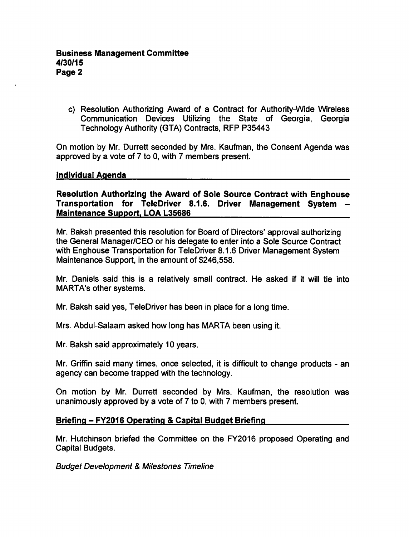c) Resolution Authorizing Award of a Contract for Authority-Wide Wireless Communication Devices Utilizing the State of Georgia, Georgia Technology Authority (GTA) Contracts, RFP P35443

On motion by Mr. Durrett seconded by Mrs. Kaufman, the Consent Agenda was approved by a vote of  $7$  to 0, with  $7$  members present.

#### Individual Agenda

Resolution Authorizing the Award of Sole Source Contract with Enghouse Transportation for TeleDriver 8.1.6. Driver Management System Maintenance Support. LOA L35686

Mr. Baksh presented this resolution for Board of Directors' approval authorizing the General Manager/CEO or his delegate to enter into a Sole Source Contract with Enghouse Transportation for TeleDriver 8.1.6 Driver Management System Maintenance Support, in the amount of \$246,558.

Mr. Daniels said this is a relatively small contract. He asked if it will tie into MARTA's other systems.

Mr. Baksh said yes, TeleDriver has been in place for a long time.

Mrs. Abdul-Salaam asked how long has MARTA been using it.

Mr. Baksh said approximately 10 years.

Mr. Griffin said many times, once selected, it is difficult to change products - an agency can become trapped with the technology.

On motion by Mr. Durrett seconded by Mrs. Kaufman, the resolution was unanimously approved by a vote of 7 to 0, with 7 members present.

## Briefing - FY2016 Operating & Capital Budget Briefing

Mr. Hutchinson briefed the Committee on the FY2016 proposed Operating and Capital Budgets.

**Budget Development & Milestones Timeline**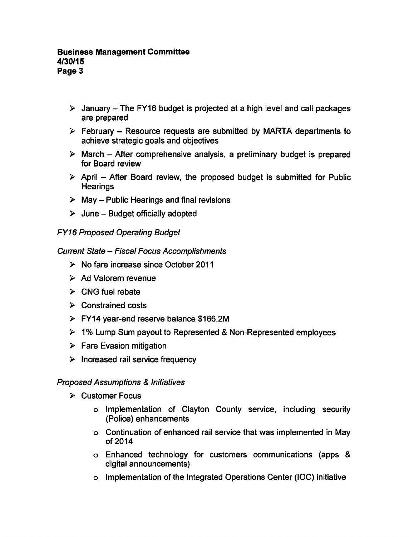- $\triangleright$  January The FY16 budget is projected at a high level and call packages are prepared
- $\triangleright$  February Resource requests are submitted by MARTA departments to achieve strategic goals and objectives
- $\triangleright$  March After comprehensive analysis, a preliminary budget is prepared for Board review
- $\triangleright$  April After Board review, the proposed budget is submitted for Public **Hearings**
- $\triangleright$  May Public Hearings and final revisions
- $\triangleright$  June Budget officially adopted

# FY16 Proposed Operating Budget

## Current State - Fiscal Focus Accomplishments

- $\triangleright$  No fare increase since October 2011
- $\triangleright$  Ad Valorem revenue
- $\triangleright$  CNG fuel rebate
- $\triangleright$  Constrained costs
- FY14 year-end reserve balance \$166.2M
- $\geq 1\%$  Lump Sum payout to Represented & Non-Represented employees
- $\triangleright$  Fare Evasion mitigation
- $\triangleright$  Increased rail service frequency

## **Proposed Assumptions & Initiatives**

- Customer Focus
	- Implementation of Clayton County service, including security (Police) enhancements
	- Continuation of enhanced rail service that was implemented in May of 2014
	- Enhanced technology for customers communications (apps digital announcements)
	- Implementation of the Integrated Operations Center (IOC) initiative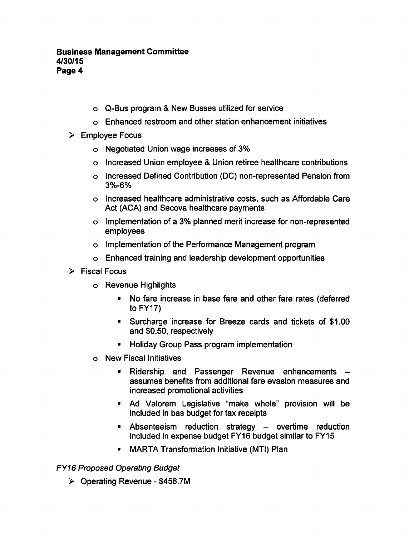- o Q-Bus program & New Busses utilized for service
- Enhanced restroom and other station enhancement initiatives
- $\triangleright$  Employee Focus
	- Negotiated Union wage increases of 3%
	- $\circ$  Increased Union employee & Union retiree healthcare contributions
	- o Increased Defined Contribution (DC) non-represented Pension from 3%-6%
	- Increased healthcare administrative costs, such as Affordable Care Act (ACA) and Secova healthcare payments
	- Implementation of 3% planned merit increase for non-represented employees
	- Implementation of the Performance Management program
	- Enhanced training and leadership development opportunities
- $\triangleright$  Fiscal Focus
	- Revenue Highlights
		- No fare increase in base fare and other fare rates (deferred to  $FY17$ )
		- Surcharge increase for Breeze cards and tickets of \$1.00 and \$0.50, respectively
		- **Holiday Group Pass program implementation**
	- New Fiscal Initiatives
		- Ridership and Passenger Revenue enhancements  $\blacksquare$ assumes benefits from additional fare evasion measures and increased promotional activities
		- Ad Valorem Legislative "make whole" provision will be included in bas budget for tax receipts
		- $\blacksquare$  Absenteeism reduction strategy  $\blacksquare$  overtime reduction included in expense budget FY16 budget similar to FY15
		- MARTA Transformation Initiative (MTI) Plan

FY16 Proposed Operating Budget

 $\triangleright$  Operating Revenue - \$458.7M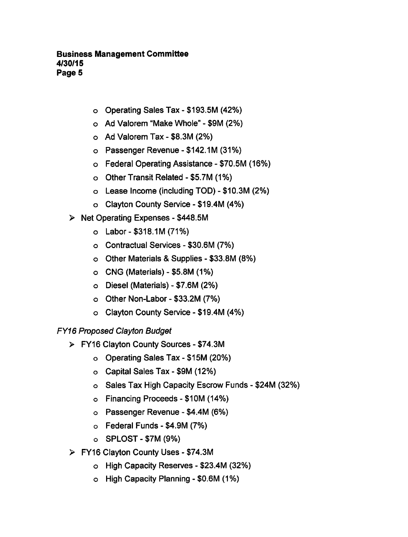- $\circ$  Operating Sales Tax \$193.5M (42%)
- $\circ$  Ad Valorem "Make Whole" \$9M (2%)
- $\circ$  Ad Valorem Tax \$8.3M (2%)
- $\circ$  Passenger Revenue \$142.1M (31%)
- $\circ$  Federal Operating Assistance \$70.5M (16%)
- $\circ$  Other Transit Related \$5.7M (1%)
- $\circ$  Lease Income (including TOD) \$10.3M (2%)
- $\circ$  Clayton County Service \$19.4M (4%)
- $\triangleright$  Net Operating Expenses \$448.5M
	- $O$  Labor \$318.1M (71%)
	- o Contractual Services \$30.6M (7%)
	- $\circ$  Other Materials & Supplies \$33.8M (8%)
	- $\circ$  CNG (Materials) \$5.8M (1%)
	- $\circ$  Diesel (Materials) \$7.6M (2%)
	- $\circ$  Other Non-Labor \$33.2M (7%)
	- $\circ$  Clayton County Service \$19.4M (4%)

## FY16 Proposed Clayton Budget

- $\triangleright$  FY16 Clayton County Sources \$74.3M
	- o Operating Sales Tax \$15M (20%)
	- Capital Sales Tax-\$9M (12%)
	- $\circ$  Sales Tax High Capacity Escrow Funds \$24M (32%)
	- $\circ$  Financing Proceeds \$10M (14%)
	- $\circ$  Passenger Revenue \$4.4M (6%)
	- $\circ$  Federal Funds \$4.9M (7%)
	- $\circ$  SPLOST \$7M (9%)
- $\triangleright$  FY16 Clayton County Uses \$74.3M
	- $\circ$  High Capacity Reserves \$23.4M (32%)
	- $\circ$  High Capacity Planning \$0.6M (1%)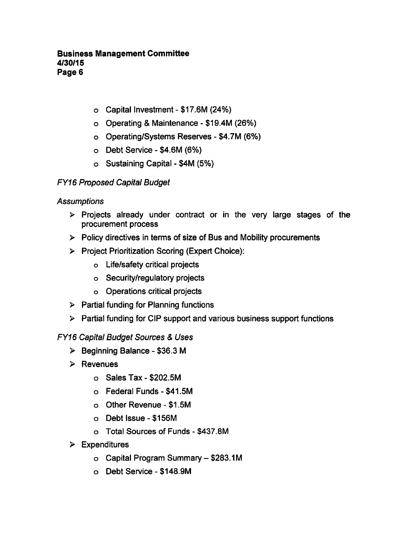- $\circ$  Capital Investment \$17.6M (24%)
- $\circ$  Operating & Maintenance \$19.4M (26%)
- o Operating/Systems Reserves \$4.7M (6%)
- $O$  Debt Service \$4.6M (6%)
- $\circ$  Sustaining Capital \$4M (5%)

# FY16 Proposed Capital Budget

# **Assumptions**

- $\triangleright$  Projects already under contract or in the very large stages of the procurement process
- $\triangleright$  Policy directives in terms of size of Bus and Mobility procurements
- Project Prioritization Scoring (Expert Choice):
	- Life/safety critical projects
	- Security/regulatory projects
	- Operations critical projects
- $\triangleright$  Partial funding for Planning functions
- $\triangleright$  Partial funding for CIP support and various business support functions

# **FY16 Capital Budget Sources & Uses**

- $\triangleright$  Beginning Balance \$36.3 M
- $\triangleright$  Revenues
	- $\circ$  Sales Tax \$202.5M
	- $\circ$  Federal Funds \$41.5M
	- o Other Revenue \$1.5M
	- Debt Issue-\$156M
	- o Total Sources of Funds \$437.8M
- $\triangleright$  Expenditures
	- $\circ$  Capital Program Summary \$283.1M
	- o Debt Service \$148.9M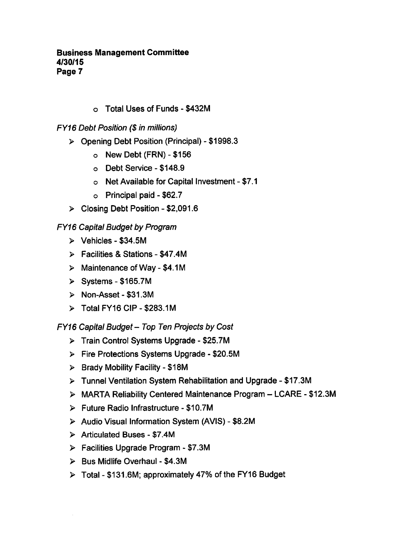o Total Uses of Funds - \$432M

FY16 Debt Position (\$ in millions)

- $\triangleright$  Opening Debt Position (Principal) \$1998.3
	- $\circ$  New Debt (FRN) \$156
	- o Debt Service \$148.9
	- $\circ$  Net Available for Capital Investment \$7.1
	- $\circ$  Principal paid \$62.7
- $\triangleright$  Closing Debt Position \$2,091.6

# FY16 Capital Budget by Program

- $\triangleright$  Vehicles \$34.5M
- $\triangleright$  Facilities & Stations \$47.4M
- $\triangleright$  Maintenance of Way \$4.1M
- $\triangleright$  Systems \$165.7M
- Non-Asset-\$31.3M
- $\triangleright$  Total FY16 CIP \$283.1M

FY16 Capital Budget - Top Ten Projects by Cost

- $\triangleright$  Train Control Systems Upgrade \$25.7M
- $\triangleright$  Fire Protections Systems Upgrade \$20.5M
- $\triangleright$  Brady Mobility Facility \$18M
- $\triangleright$  Tunnel Ventilation System Rehabilitation and Upgrade \$17.3M
- $\triangleright$  MARTA Reliability Centered Maintenance Program LCARE \$12.3M
- $\triangleright$  Future Radio Infrastructure \$10.7M
- $\triangleright$  Audio Visual Information System (AVIS) \$8.2M
- $\triangleright$  Articulated Buses \$7.4M
- $\triangleright$  Facilities Upgrade Program \$7.3M
- $\triangleright$  Bus Midlife Overhaul \$4.3M
- $\triangleright$  Total \$131.6M; approximately 47% of the FY16 Budget